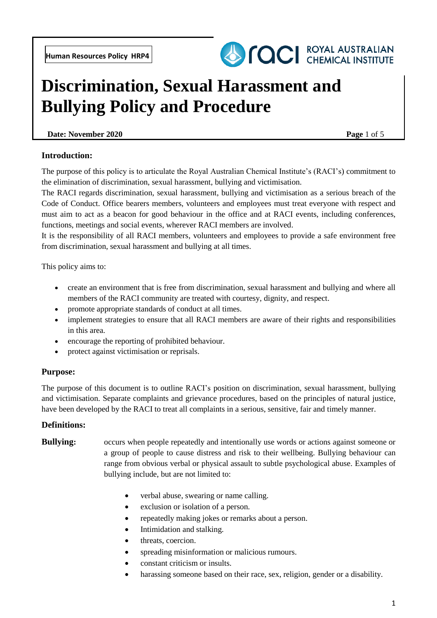

# **Discrimination, Sexual Harassment and Bullying Policy and Procedure**

## **Date:** November 2020 **Page 1 of 5**

## **Introduction:**

The purpose of this policy is to articulate the Royal Australian Chemical Institute's (RACI's) commitment to the elimination of discrimination, sexual harassment, bullying and victimisation.

The RACI regards discrimination, sexual harassment, bullying and victimisation as a serious breach of the Code of Conduct. Office bearers members, volunteers and employees must treat everyone with respect and must aim to act as a beacon for good behaviour in the office and at RACI events, including conferences, functions, meetings and social events, wherever RACI members are involved.

It is the responsibility of all RACI members, volunteers and employees to provide a safe environment free from discrimination, sexual harassment and bullying at all times.

This policy aims to:

- create an environment that is free from discrimination, sexual harassment and bullying and where all members of the RACI community are treated with courtesy, dignity, and respect.
- promote appropriate standards of conduct at all times.
- implement strategies to ensure that all RACI members are aware of their rights and responsibilities in this area.
- encourage the reporting of prohibited behaviour.
- protect against victimisation or reprisals.

#### **Purpose:**

The purpose of this document is to outline RACI's position on discrimination, sexual harassment, bullying and victimisation. Separate complaints and grievance procedures, based on the principles of natural justice, have been developed by the RACI to treat all complaints in a serious, sensitive, fair and timely manner.

#### **Definitions:**

# **Bullying:** occurs when people repeatedly and intentionally use words or actions against someone or a group of people to cause distress and risk to their wellbeing. Bullying behaviour can range from obvious verbal or physical assault to subtle psychological abuse. Examples of bullying include, but are not limited to:

- verbal abuse, swearing or name calling.
- exclusion or isolation of a person.
- repeatedly making jokes or remarks about a person.
- Intimidation and stalking.
- threats, coercion.
- spreading misinformation or malicious rumours.
- constant criticism or insults.
- harassing someone based on their race, sex, religion, gender or a disability.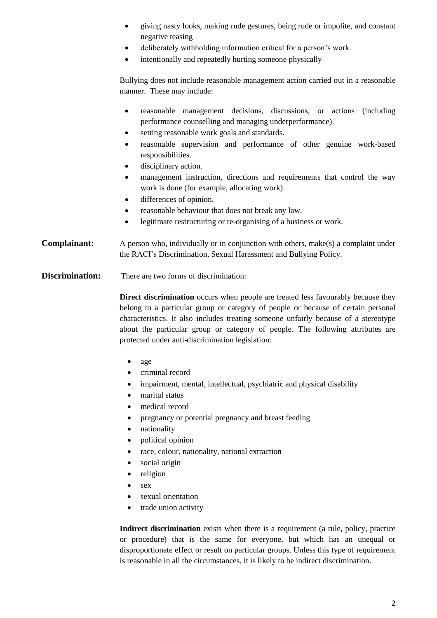- giving nasty looks, making rude gestures, being rude or impolite, and constant negative teasing
- deliberately withholding information critical for a person's work.
- intentionally and repeatedly hurting someone physically

Bullying does not include reasonable management action carried out in a reasonable manner. These may include:

- reasonable management decisions, discussions, or actions (including performance counselling and managing underperformance).
- setting reasonable work goals and standards.
- reasonable supervision and performance of other genuine work-based responsibilities.
- disciplinary action.
- management instruction, directions and requirements that control the way work is done (for example, allocating work).
- differences of opinion.
- reasonable behaviour that does not break any law.
- legitimate restructuring or re-organising of a business or work.

**Complainant:** A person who, individually or in conjunction with others, make(s) a complaint under the RACI's Discrimination, Sexual Harassment and Bullying Policy.

**Discrimination:** There are two forms of discrimination:

**Direct discrimination** occurs when people are treated less favourably because they belong to a particular group or category of people or because of certain personal characteristics. It also includes treating someone unfairly because of a stereotype about the particular group or category of people. The following attributes are protected under anti-discrimination legislation:

- age
- criminal record
- impairment, mental, intellectual, psychiatric and physical disability
- marital status
- medical record
- pregnancy or potential pregnancy and breast feeding
- nationality
- political opinion
- race, colour, nationality, national extraction
- social origin
- religion
- $\bullet$  sex
- sexual orientation
- trade union activity

**Indirect discrimination** exists when there is a requirement (a rule, policy, practice or procedure) that is the same for everyone, but which has an unequal or disproportionate effect or result on particular groups. Unless this type of requirement is reasonable in all the circumstances, it is likely to be indirect discrimination.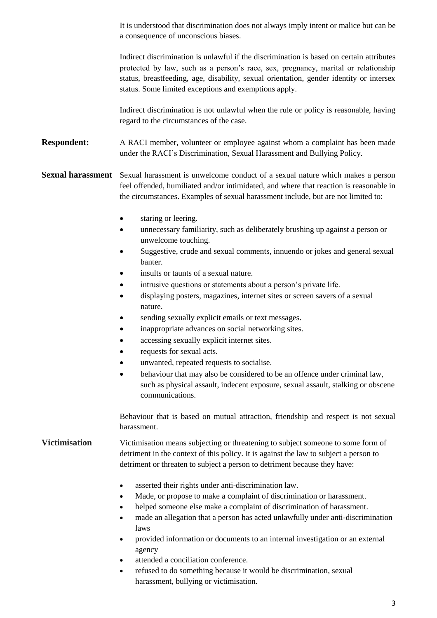It is understood that discrimination does not always imply intent or malice but can be a consequence of unconscious biases.

Indirect discrimination is unlawful if the discrimination is based on certain attributes protected by law, such as a person's race, sex, pregnancy, marital or relationship status, breastfeeding, age, disability, sexual orientation, gender identity or intersex status. Some limited exceptions and exemptions apply.

Indirect discrimination is not unlawful when the rule or policy is reasonable, having regard to the circumstances of the case.

**Respondent:** A RACI member, volunteer or employee against whom a complaint has been made under the RACI's Discrimination, Sexual Harassment and Bullying Policy.

**Sexual harassment** Sexual harassment is unwelcome conduct of a sexual nature which makes a person feel offended, humiliated and/or intimidated, and where that reaction is reasonable in the circumstances. Examples of sexual harassment include, but are not limited to:

- staring or leering.
- unnecessary familiarity, such as deliberately brushing up against a person or unwelcome touching.
- Suggestive, crude and sexual comments, innuendo or jokes and general sexual banter.
- insults or taunts of a sexual nature.
- intrusive questions or statements about a person's private life.
- displaying posters, magazines, internet sites or screen savers of a sexual nature.
- sending sexually explicit emails or text messages.
- inappropriate advances on social networking sites.
- accessing sexually explicit internet sites.
- requests for sexual acts.
- unwanted, repeated requests to socialise.
- behaviour that may also be considered to be an offence under criminal law, such as physical assault, indecent exposure, sexual assault, stalking or obscene communications.

Behaviour that is based on mutual attraction, friendship and respect is not sexual harassment.

## **Victimisation** Victimisation means subjecting or threatening to subject someone to some form of detriment in the context of this policy. It is against the law to subject a person to detriment or threaten to subject a person to detriment because they have:

- asserted their rights under anti-discrimination law.
- Made, or propose to make a complaint of discrimination or harassment.
- helped someone else make a complaint of discrimination of harassment.
- made an allegation that a person has acted unlawfully under anti-discrimination laws
- provided information or documents to an internal investigation or an external agency
- attended a conciliation conference.
- refused to do something because it would be discrimination, sexual harassment, bullying or victimisation.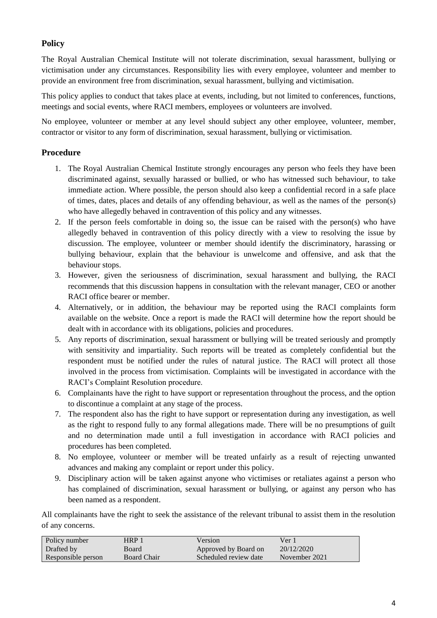# **Policy**

The Royal Australian Chemical Institute will not tolerate discrimination, sexual harassment, bullying or victimisation under any circumstances. Responsibility lies with every employee, volunteer and member to provide an environment free from discrimination, sexual harassment, bullying and victimisation.

This policy applies to conduct that takes place at events, including, but not limited to conferences, functions, meetings and social events, where RACI members, employees or volunteers are involved.

No employee, volunteer or member at any level should subject any other employee, volunteer, member, contractor or visitor to any form of discrimination, sexual harassment, bullying or victimisation.

# **Procedure**

- 1. The Royal Australian Chemical Institute strongly encourages any person who feels they have been discriminated against, sexually harassed or bullied, or who has witnessed such behaviour, to take immediate action. Where possible, the person should also keep a confidential record in a safe place of times, dates, places and details of any offending behaviour, as well as the names of the person(s) who have allegedly behaved in contravention of this policy and any witnesses.
- 2. If the person feels comfortable in doing so, the issue can be raised with the person(s) who have allegedly behaved in contravention of this policy directly with a view to resolving the issue by discussion. The employee, volunteer or member should identify the discriminatory, harassing or bullying behaviour, explain that the behaviour is unwelcome and offensive, and ask that the behaviour stops.
- 3. However, given the seriousness of discrimination, sexual harassment and bullying, the RACI recommends that this discussion happens in consultation with the relevant manager, CEO or another RACI office bearer or member.
- 4. Alternatively, or in addition, the behaviour may be reported using the RACI complaints form available on the website. Once a report is made the RACI will determine how the report should be dealt with in accordance with its obligations, policies and procedures.
- 5. Any reports of discrimination, sexual harassment or bullying will be treated seriously and promptly with sensitivity and impartiality. Such reports will be treated as completely confidential but the respondent must be notified under the rules of natural justice. The RACI will protect all those involved in the process from victimisation. Complaints will be investigated in accordance with the RACI's Complaint Resolution procedure.
- 6. Complainants have the right to have support or representation throughout the process, and the option to discontinue a complaint at any stage of the process.
- 7. The respondent also has the right to have support or representation during any investigation, as well as the right to respond fully to any formal allegations made. There will be no presumptions of guilt and no determination made until a full investigation in accordance with RACI policies and procedures has been completed.
- 8. No employee, volunteer or member will be treated unfairly as a result of rejecting unwanted advances and making any complaint or report under this policy.
- 9. Disciplinary action will be taken against anyone who victimises or retaliates against a person who has complained of discrimination, sexual harassment or bullying, or against any person who has been named as a respondent.

All complainants have the right to seek the assistance of the relevant tribunal to assist them in the resolution of any concerns.

| Policy number      | HRP 1              | Version               | Ver 1         |
|--------------------|--------------------|-----------------------|---------------|
| Drafted by         | Board              | Approved by Board on  | 20/12/2020    |
| Responsible person | <b>Board Chair</b> | Scheduled review date | November 2021 |